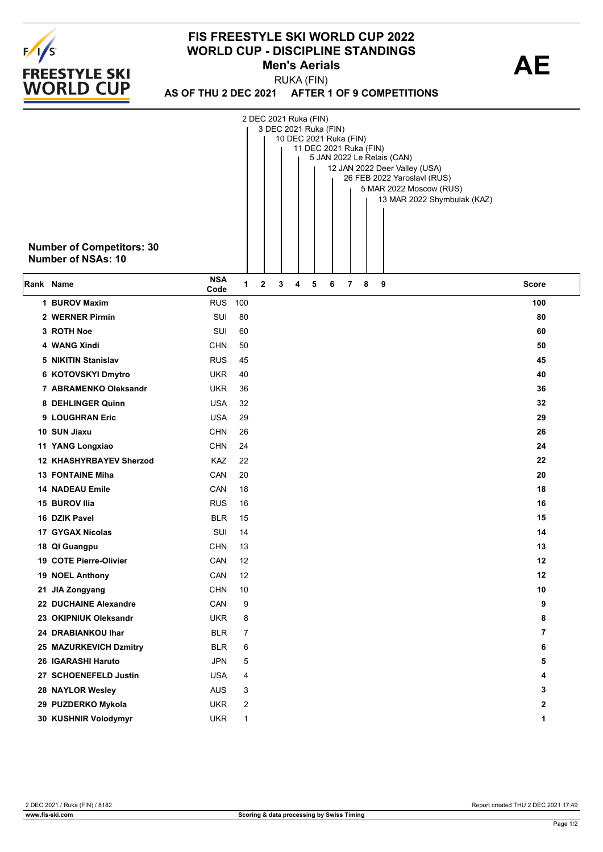

## **FIS FREESTYLE SKI WORLD CUP 2022 WORLD CUP - DISCIPLINE STANDINGS<br>Men's Aerials Men's Aerials**

**AS OF THU 2 DEC 2021 AFTER 1 OF 9 COMPETITIONS** RUKA (FIN)

|           | <b>Number of Competitors: 30</b><br><b>Number of NSAs: 10</b> |                    |      | 2 DEC 2021 Ruka (FIN) |   |   | 3 DEC 2021 Ruka (FIN)<br>10 DEC 2021 Ruka (FIN)<br>11 DEC 2021 Ruka (FIN) |   |   |   | 5 JAN 2022 Le Relais (CAN)<br>12 JAN 2022 Deer Valley (USA)<br>26 FEB 2022 Yaroslavl (RUS)<br>5 MAR 2022 Moscow (RUS)<br>13 MAR 2022 Shymbulak (KAZ) |                |
|-----------|---------------------------------------------------------------|--------------------|------|-----------------------|---|---|---------------------------------------------------------------------------|---|---|---|------------------------------------------------------------------------------------------------------------------------------------------------------|----------------|
| Rank Name |                                                               | <b>NSA</b><br>Code | 1    | 2                     | 3 | 4 | 5                                                                         | 6 | 7 | 8 | 9                                                                                                                                                    | Score          |
|           | 1 BUROV Maxim                                                 | <b>RUS</b>         | 100  |                       |   |   |                                                                           |   |   |   |                                                                                                                                                      | 100            |
|           | 2 WERNER Pirmin                                               | SUI                | 80   |                       |   |   |                                                                           |   |   |   |                                                                                                                                                      | 80             |
|           | 3 ROTH Noe                                                    | SUI                | 60   |                       |   |   |                                                                           |   |   |   |                                                                                                                                                      | 60             |
|           | 4 WANG Xindi                                                  | <b>CHN</b>         | 50   |                       |   |   |                                                                           |   |   |   |                                                                                                                                                      | 50             |
|           | 5 NIKITIN Stanislav                                           | <b>RUS</b>         | 45   |                       |   |   |                                                                           |   |   |   |                                                                                                                                                      | 45             |
|           | 6 KOTOVSKYI Dmytro                                            | <b>UKR</b>         | 40   |                       |   |   |                                                                           |   |   |   |                                                                                                                                                      | 40             |
|           | 7 ABRAMENKO Oleksandr                                         | <b>UKR</b>         | 36   |                       |   |   |                                                                           |   |   |   |                                                                                                                                                      | 36             |
|           | 8 DEHLINGER Quinn                                             | <b>USA</b>         | 32   |                       |   |   |                                                                           |   |   |   |                                                                                                                                                      | 32             |
|           | 9 LOUGHRAN Eric                                               | <b>USA</b>         | 29   |                       |   |   |                                                                           |   |   |   |                                                                                                                                                      | 29             |
|           | 10 SUN Jiaxu                                                  | <b>CHN</b>         | 26   |                       |   |   |                                                                           |   |   |   |                                                                                                                                                      | 26             |
|           | 11 YANG Longxiao                                              | <b>CHN</b>         | 24   |                       |   |   |                                                                           |   |   |   |                                                                                                                                                      | 24             |
|           | <b>12 KHASHYRBAYEV Sherzod</b>                                | KAZ                | 22   |                       |   |   |                                                                           |   |   |   |                                                                                                                                                      | 22             |
|           | <b>13 FONTAINE Miha</b>                                       | CAN                | 20   |                       |   |   |                                                                           |   |   |   |                                                                                                                                                      | 20             |
|           | <b>14 NADEAU Emile</b>                                        | CAN                | 18   |                       |   |   |                                                                           |   |   |   |                                                                                                                                                      | 18             |
|           | 15 BUROV Ilia                                                 | <b>RUS</b>         | 16   |                       |   |   |                                                                           |   |   |   |                                                                                                                                                      | 16             |
|           | 16 DZIK Pavel                                                 | <b>BLR</b>         | 15   |                       |   |   |                                                                           |   |   |   |                                                                                                                                                      | 15             |
|           | 17 GYGAX Nicolas                                              | SUI                | 14   |                       |   |   |                                                                           |   |   |   |                                                                                                                                                      | 14             |
|           | 18 QI Guangpu                                                 | <b>CHN</b>         | 13   |                       |   |   |                                                                           |   |   |   |                                                                                                                                                      | 13             |
|           | 19 COTE Pierre-Olivier                                        | CAN                | 12   |                       |   |   |                                                                           |   |   |   |                                                                                                                                                      | 12             |
|           | 19 NOEL Anthony                                               | CAN                | 12   |                       |   |   |                                                                           |   |   |   |                                                                                                                                                      | 12             |
|           | 21 JIA Zongyang                                               | <b>CHN</b>         | $10$ |                       |   |   |                                                                           |   |   |   |                                                                                                                                                      | 10             |
|           | 22 DUCHAINE Alexandre                                         | CAN                | 9    |                       |   |   |                                                                           |   |   |   |                                                                                                                                                      | 9              |
|           | 23 OKIPNIUK Oleksandr                                         | <b>UKR</b>         | 8    |                       |   |   |                                                                           |   |   |   |                                                                                                                                                      | 8              |
|           | 24 DRABIANKOU Ihar                                            | <b>BLR</b>         | 7    |                       |   |   |                                                                           |   |   |   |                                                                                                                                                      | $\overline{7}$ |
|           | 25 MAZURKEVICH Dzmitry                                        | <b>BLR</b>         | 6    |                       |   |   |                                                                           |   |   |   |                                                                                                                                                      | 6              |
|           | 26 IGARASHI Haruto                                            | <b>JPN</b>         | 5    |                       |   |   |                                                                           |   |   |   |                                                                                                                                                      | 5              |
|           | 27 SCHOENEFELD Justin                                         | <b>USA</b>         | 4    |                       |   |   |                                                                           |   |   |   |                                                                                                                                                      | 4              |
|           | 28 NAYLOR Wesley                                              | <b>AUS</b>         | 3    |                       |   |   |                                                                           |   |   |   |                                                                                                                                                      | 3              |
|           | 29 PUZDERKO Mykola                                            | <b>UKR</b>         | 2    |                       |   |   |                                                                           |   |   |   |                                                                                                                                                      | 2              |
|           | 30 KUSHNIR Volodymyr                                          | <b>UKR</b>         | 1    |                       |   |   |                                                                           |   |   |   |                                                                                                                                                      | 1              |